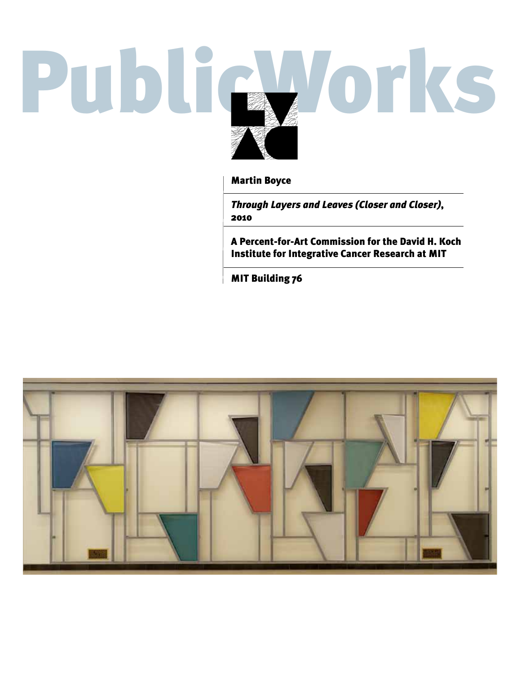# PublicWorks

Martin Boyce

*Through Layers and Leaves (Closer and Closer)*, 2010

A Percent-for-Art Commission for the David H. Koch Institute for Integrative Cancer Research at MIT

MIT Building 76

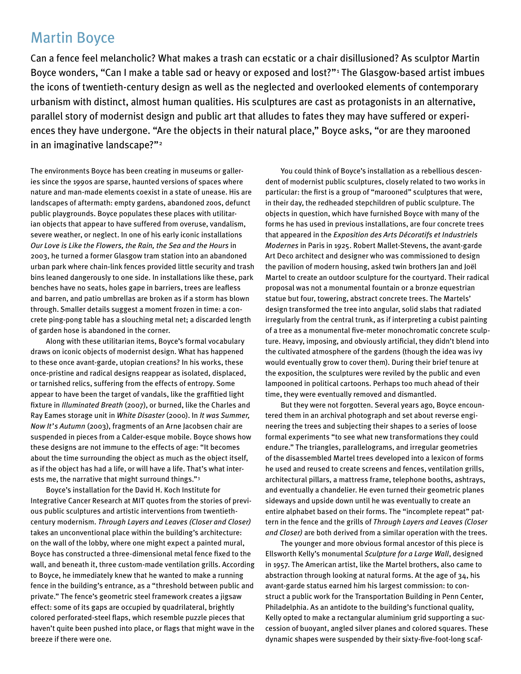# Martin Boyce

Can a fence feel melancholic? What makes a trash can ecstatic or a chair disillusioned? As sculptor Martin Boyce wonders, "Can I make a table sad or heavy or exposed and lost?"<sup>1</sup> The Glasgow-based artist imbues the icons of twentieth-century design as well as the neglected and overlooked elements of contemporary urbanism with distinct, almost human qualities. His sculptures are cast as protagonists in an alternative, parallel story of modernist design and public art that alludes to fates they may have suffered or experiences they have undergone. "Are the objects in their natural place," Boyce asks, "or are they marooned in an imaginative landscape?"2

The environments Boyce has been creating in museums or galleries since the 1990s are sparse, haunted versions of spaces where nature and man-made elements coexist in a state of unease. His are landscapes of aftermath: empty gardens, abandoned zoos, defunct public playgrounds. Boyce populates these places with utilitarian objects that appear to have suffered from overuse, vandalism, severe weather, or neglect. In one of his early iconic installations *Our Love is Like the Flowers, the Rain, the Sea and the Hours* in 2003, he turned a former Glasgow tram station into an abandoned urban park where chain-link fences provided little security and trash bins leaned dangerously to one side. In installations like these, park benches have no seats, holes gape in barriers, trees are leafless and barren, and patio umbrellas are broken as if a storm has blown through. Smaller details suggest a moment frozen in time: a concrete ping-pong table has a slouching metal net; a discarded length of garden hose is abandoned in the corner.

Along with these utilitarian items, Boyce's formal vocabulary draws on iconic objects of modernist design. What has happened to these once avant-garde, utopian creations? In his works, these once-pristine and radical designs reappear as isolated, displaced, or tarnished relics, suffering from the effects of entropy. Some appear to have been the target of vandals, like the graffitied light fixture in *Illuminated Breath* (2007), or burned, like the Charles and Ray Eames storage unit in *White Disaster* (2000). In *It was Summer, Now It's Autumn* (2003), fragments of an Arne Jacobsen chair are suspended in pieces from a Calder-esque mobile. Boyce shows how these designs are not immune to the effects of age: "It becomes about the time surrounding the object as much as the object itself, as if the object has had a life, or will have a life. That's what interests me, the narrative that might surround things."3

Boyce's installation for the David H. Koch Institute for Integrative Cancer Research at MIT quotes from the stories of previous public sculptures and artistic interventions from twentiethcentury modernism. *Through Layers and Leaves (Closer and Closer)* takes an unconventional place within the building's architecture: on the wall of the lobby, where one might expect a painted mural, Boyce has constructed a three-dimensional metal fence fixed to the wall, and beneath it, three custom-made ventilation grills. According to Boyce, he immediately knew that he wanted to make a running fence in the building's entrance, as a "threshold between public and private." The fence's geometric steel framework creates a jigsaw effect: some of its gaps are occupied by quadrilateral, brightly colored perforated-steel flaps, which resemble puzzle pieces that haven't quite been pushed into place, or flags that might wave in the breeze if there were one.

You could think of Boyce's installation as a rebellious descendent of modernist public sculptures, closely related to two works in particular: the first is a group of "marooned" sculptures that were, in their day, the redheaded stepchildren of public sculpture. The objects in question, which have furnished Boyce with many of the forms he has used in previous installations, are four concrete trees that appeared in the *Exposition des Arts Décoratifs et Industriels Modernes* in Paris in 1925. Robert Mallet-Stevens, the avant-garde Art Deco architect and designer who was commissioned to design the pavilion of modern housing, asked twin brothers Jan and Joël Martel to create an outdoor sculpture for the courtyard. Their radical proposal was not a monumental fountain or a bronze equestrian statue but four, towering, abstract concrete trees. The Martels' design transformed the tree into angular, solid slabs that radiated irregularly from the central trunk, as if interpreting a cubist painting of a tree as a monumental five-meter monochromatic concrete sculpture. Heavy, imposing, and obviously artificial, they didn't blend into the cultivated atmosphere of the gardens (though the idea was ivy would eventually grow to cover them). During their brief tenure at the exposition, the sculptures were reviled by the public and even lampooned in political cartoons. Perhaps too much ahead of their time, they were eventually removed and dismantled.

But they were not forgotten. Several years ago, Boyce encountered them in an archival photograph and set about reverse engineering the trees and subjecting their shapes to a series of loose formal experiments "to see what new transformations they could endure." The triangles, parallelograms, and irregular geometries of the disassembled Martel trees developed into a lexicon of forms he used and reused to create screens and fences, ventilation grills, architectural pillars, a mattress frame, telephone booths, ashtrays, and eventually a chandelier. He even turned their geometric planes sideways and upside down until he was eventually to create an entire alphabet based on their forms. The "incomplete repeat" pattern in the fence and the grills of *Through Layers and Leaves (Closer and Closer)* are both derived from a similar operation with the trees.

The younger and more obvious formal ancestor of this piece is Ellsworth Kelly's monumental *Sculpture for a Large Wall*, designed in 1957. The American artist, like the Martel brothers, also came to abstraction through looking at natural forms. At the age of 34, his avant-garde status earned him his largest commission: to construct a public work for the Transportation Building in Penn Center, Philadelphia. As an antidote to the building's functional quality, Kelly opted to make a rectangular aluminium grid supporting a succession of buoyant, angled silver planes and colored squares. These dynamic shapes were suspended by their sixty-five-foot-long scaf-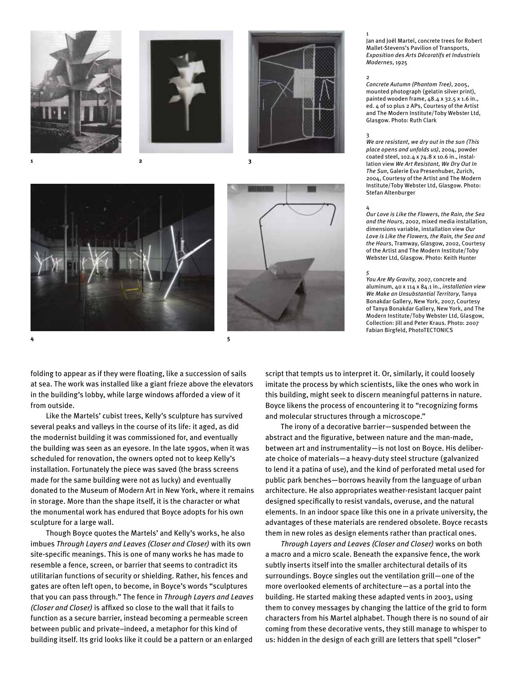



folding to appear as if they were floating, like a succession of sails at sea. The work was installed like a giant frieze above the elevators in the building's lobby, while large windows afforded a view of it from outside.

Like the Martels' cubist trees, Kelly's sculpture has survived several peaks and valleys in the course of its life: it aged, as did the modernist building it was commissioned for, and eventually the building was seen as an eyesore. In the late 1990s, when it was scheduled for renovation, the owners opted not to keep Kelly's installation. Fortunately the piece was saved (the brass screens made for the same building were not as lucky) and eventually donated to the Museum of Modern Art in New York, where it remains in storage. More than the shape itself, it is the character or what the monumental work has endured that Boyce adopts for his own sculpture for a large wall.

Though Boyce quotes the Martels' and Kelly's works, he also imbues *Through Layers and Leaves (Closer and Closer)* with its own site-specific meanings. This is one of many works he has made to resemble a fence, screen, or barrier that seems to contradict its utilitarian functions of security or shielding. Rather, his fences and gates are often left open, to become, in Boyce's words "sculptures that you can pass through." The fence in *Through Layers and Leaves (Closer and Closer)* is affixed so close to the wall that it fails to function as a secure barrier, instead becoming a permeable screen between public and private–indeed, a metaphor for this kind of building itself. Its grid looks like it could be a pattern or an enlarged

Jan and Joël Martel, concrete trees for Robert Mallet-Stevens's Pavilion of Transports, *Exposition des Arts Décoratifs et Industriels Modernes*, 1925

### $\overline{2}$

1

*Concrete Autumn (Phantom Tree)*, 2005, mounted photograph (gelatin silver print), painted wooden frame, 48.4 x 32.5 x 1.6 in., ed. 4 of 10 plus 2 APs, Courtesy of the Artist and The Modern Institute/Toby Webster Ltd, Glasgow. Photo: Ruth Clark

## 3

*We are resistant, we dry out in the sun (This place opens and unfolds us)*, 2004, powder coated steel, 102.4 x 74.8 x 10.6 in., installation view *We Art Resistant, We Dry Out In The Sun*, Galerie Eva Presenhuber, Zurich, 2004, Courtesy of the Artist and The Modern Institute/Toby Webster Ltd, Glasgow. Photo: Stefan Altenburger

### 4

*Our Love is Like the Flowers, the Rain, the Sea and the Hours*, 2002, mixed media installation, dimensions variable, installation view *Our Love is Like the Flowers, the Rain, the Sea and the Hours*, Tramway, Glasgow, 2002, Courtesy of the Artist and The Modern Institute/Toby Webster Ltd, Glasgow. Photo: Keith Hunter

### *5*

*You Are My Gravity,* 2007, concrete and aluminum, 40 x 114 x 84.1 in., *installation view We Make an Unsubstantial Territory*, Tanya Bonakdar Gallery, New York, 2007, Courtesy of Tanya Bonakdar Gallery, New York, and The Modern Institute/Toby Webster Ltd, Glasgow, Collection: Jill and Peter Kraus. Photo: 2007 Fabian Birgfeld, PhotoTECTONICS

script that tempts us to interpret it. Or, similarly, it could loosely imitate the process by which scientists, like the ones who work in this building, might seek to discern meaningful patterns in nature. Boyce likens the process of encountering it to "recognizing forms and molecular structures through a microscope."

The irony of a decorative barrier—suspended between the abstract and the figurative, between nature and the man-made, between art and instrumentality—is not lost on Boyce. His deliberate choice of materials—a heavy-duty steel structure (galvanized to lend it a patina of use), and the kind of perforated metal used for public park benches—borrows heavily from the language of urban architecture. He also appropriates weather-resistant lacquer paint designed specifically to resist vandals, overuse, and the natural elements. In an indoor space like this one in a private university, the advantages of these materials are rendered obsolete. Boyce recasts them in new roles as design elements rather than practical ones.

*Through Layers and Leaves (Closer and Closer)* works on both a macro and a micro scale. Beneath the expansive fence, the work subtly inserts itself into the smaller architectural details of its surroundings. Boyce singles out the ventilation grill—one of the more overlooked elements of architecture—as a portal into the building. He started making these adapted vents in 2003, using them to convey messages by changing the lattice of the grid to form characters from his Martel alphabet. Though there is no sound of air coming from these decorative vents, they still manage to whisper to us: hidden in the design of each grill are letters that spell "closer"